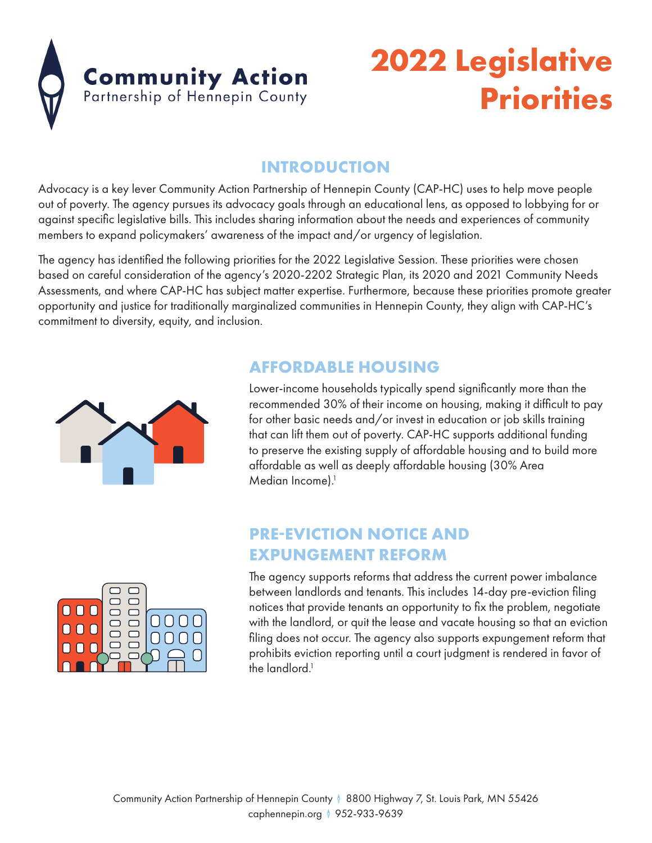

## **2022 Legislative Priorities**

### **INTRODUCTION**

Advocacy is a key lever Community Action Partnership of Hennepin County (CAP-HC) uses to help move people out of poverty. The agency pursues its advocacy goals through an educational lens, as opposed to lobbying for or against specific legislative bills. This includes sharing information about the needs and experiences of community members to expand policymakers' awareness of the impact and/or urgency of legislation.

The agency has identified the following priorities for the 2022 Legislative Session. These priorities were chosen based on careful consideration of the agency's 2020-2202 Strategic Plan, its 2020 and 2021 Community Needs Assessments, and where CAP-HC has subject matter expertise. Furthermore, because these priorities promote greater opportunity and justice for traditionally marginalized communities in Hennepin County, they align with CAP-HC's commitment to diversity, equity, and inclusion.

### **AFFORDABLE HOUSING**

Lower-income households typically spend significantly more than the recommended 30% of their income on housing, making it difficult to pay for other basic needs and/or invest in education or job skills training that can lift them out of poverty. CAP-HC supports additional funding to preserve the existing supply of affordable housing and to build more affordable as well as deeply affordable housing (30% Area Median Income).<sup>1</sup>

### **PRE-EVICTION NOTICE AND EXPUNGEMENT REFORM**



The agency supports reforms that address the current power imbalance between landlords and tenants. This includes 14-day pre-eviction filing notices that provide tenants an opportunity to fix the problem, negotiate with the landlord, or quit the lease and vacate housing so that an eviction filing does not occur. The agency also supports expungement reform that prohibits eviction reporting until a court judgment is rendered in favor of the landlord.<sup>1</sup>